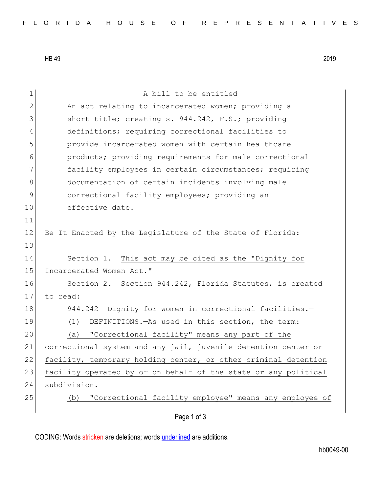HB 49 2019

| $\mathbf 1$  | A bill to be entitled                                           |
|--------------|-----------------------------------------------------------------|
| $\mathbf{2}$ | An act relating to incarcerated women; providing a              |
| 3            | short title; creating s. 944.242, F.S.; providing               |
| 4            | definitions; requiring correctional facilities to               |
| 5            | provide incarcerated women with certain healthcare              |
| 6            | products; providing requirements for male correctional          |
| 7            | facility employees in certain circumstances; requiring          |
| 8            | documentation of certain incidents involving male               |
| $\mathsf 9$  | correctional facility employees; providing an                   |
| 10           | effective date.                                                 |
| 11           |                                                                 |
| 12           | Be It Enacted by the Legislature of the State of Florida:       |
| 13           |                                                                 |
| 14           | Section 1. This act may be cited as the "Dignity for            |
| 15           | Incarcerated Women Act."                                        |
| 16           | Section 2. Section 944.242, Florida Statutes, is created        |
| 17           | to read:                                                        |
| 18           | 944.242 Dignity for women in correctional facilities.-          |
| 19           | DEFINITIONS. - As used in this section, the term:<br>(1)        |
| 20           | "Correctional facility" means any part of the<br>(a)            |
| 21           | correctional system and any jail, juvenile detention center or  |
| 22           | facility, temporary holding center, or other criminal detention |
| 23           | facility operated by or on behalf of the state or any political |
| 24           | subdivision.                                                    |
| 25           | "Correctional facility employee" means any employee of<br>(b)   |
|              | Page 1 of 3                                                     |

CODING: Words stricken are deletions; words underlined are additions.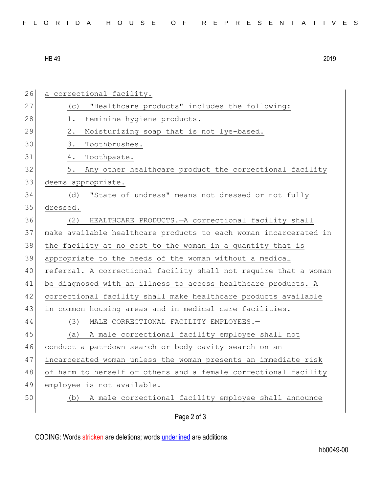| FLORIDA HOUSE OF REPRESENTATIVES |  |
|----------------------------------|--|
|----------------------------------|--|

HB 49 2019

| 26 | a correctional facility.                                         |
|----|------------------------------------------------------------------|
| 27 | "Healthcare products" includes the following:<br>(C)             |
| 28 | Feminine hygiene products.<br>1.                                 |
| 29 | Moisturizing soap that is not lye-based.<br>2.                   |
| 30 | 3.<br>Toothbrushes.                                              |
| 31 | Toothpaste.<br>4.                                                |
| 32 | Any other healthcare product the correctional facility<br>5.     |
| 33 | deems appropriate.                                               |
| 34 | "State of undress" means not dressed or not fully<br>(d)         |
| 35 | dressed.                                                         |
| 36 | HEALTHCARE PRODUCTS. - A correctional facility shall<br>(2)      |
| 37 | make available healthcare products to each woman incarcerated in |
| 38 | the facility at no cost to the woman in a quantity that is       |
| 39 | appropriate to the needs of the woman without a medical          |
| 40 | referral. A correctional facility shall not require that a woman |
| 41 | be diagnosed with an illness to access healthcare products. A    |
| 42 | correctional facility shall make healthcare products available   |
| 43 | in common housing areas and in medical care facilities.          |
| 44 | (3)<br>MALE CORRECTIONAL FACILITY EMPLOYEES.-                    |
| 45 | A male correctional facility employee shall not<br>(a)           |
| 46 | conduct a pat-down search or body cavity search on an            |
| 47 | incarcerated woman unless the woman presents an immediate risk   |
| 48 | of harm to herself or others and a female correctional facility  |
| 49 | employee is not available.                                       |
| 50 | A male correctional facility employee shall announce<br>(b)      |
|    | Page 2 of 3                                                      |

CODING: Words stricken are deletions; words underlined are additions.